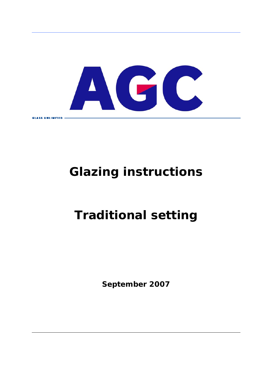

# **Glazing instructions**

# **Traditional setting**

**September 2007**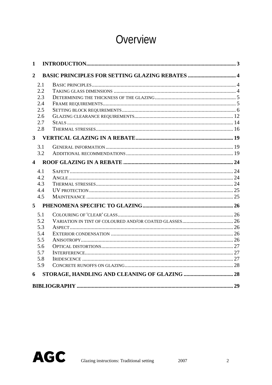# Overview

| $\mathbf{1}$   |                                                        |  |
|----------------|--------------------------------------------------------|--|
| $\overline{2}$ | <b>BASIC PRINCIPLES FOR SETTING GLAZING REBATES  4</b> |  |
| 2.1            |                                                        |  |
| 2.2            |                                                        |  |
| 2.3            |                                                        |  |
| 2.4            |                                                        |  |
| 2.5            |                                                        |  |
| 2.6            |                                                        |  |
| 2.7            |                                                        |  |
| 2.8            |                                                        |  |
|                |                                                        |  |
| 3.1            |                                                        |  |
| 3.2            |                                                        |  |
|                |                                                        |  |
| 4.1            |                                                        |  |
| 4.2            |                                                        |  |
| 4.3            |                                                        |  |
| 4.4            |                                                        |  |
| 4.5            |                                                        |  |
|                |                                                        |  |
| 5.1            |                                                        |  |
| 5.2            |                                                        |  |
| 5.3            |                                                        |  |
| 5.4            |                                                        |  |
| 5.5            |                                                        |  |
| 5.6            |                                                        |  |
| 5.7            |                                                        |  |
| 5.8<br>5.9     |                                                        |  |
|                |                                                        |  |
| 6              |                                                        |  |
|                |                                                        |  |

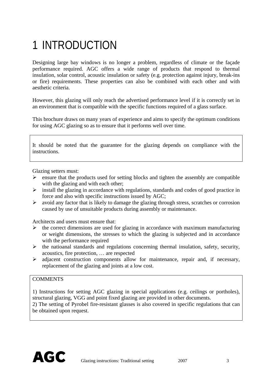# <span id="page-2-0"></span>1 INTRODUCTION

Designing large bay windows is no longer a problem, regardless of climate or the façade performance required. AGC offers a wide range of products that respond to thermal insulation, solar control, acoustic insulation or safety (e.g. protection against injury, break-ins or fire) requirements. These properties can also be combined with each other and with aesthetic criteria.

However, this glazing will only reach the advertised performance level if it is correctly set in an environment that is compatible with the specific functions required of a glass surface.

This brochure draws on many years of experience and aims to specify the optimum conditions for using AGC glazing so as to ensure that it performs well over time.

It should be noted that the guarantee for the glazing depends on compliance with the instructions.

Glazing setters must:

- $\triangleright$  ensure that the products used for setting blocks and tighten the assembly are compatible with the glazing and with each other;
- $\triangleright$  install the glazing in accordance with regulations, standards and codes of good practice in force and also with specific instructions issued by AGC;
- $\triangleright$  avoid any factor that is likely to damage the glazing through stress, scratches or corrosion caused by use of unsuitable products during assembly or maintenance.

Architects and users must ensure that:

- $\triangleright$  the correct dimensions are used for glazing in accordance with maximum manufacturing or weight dimensions, the stresses to which the glazing is subjected and in accordance with the performance required
- $\triangleright$  the natioanal standards and regulations concerning thermal insulation, safety, security, acoustics, fire protection, … are respected
- $\triangleright$  adjacent construction components allow for maintenance, repair and, if necessary, replacement of the glazing and joints at a low cost.

#### **COMMENTS**

1) Instructions for setting AGC glazing in special applications (e.g. ceilings or portholes), structural glazing, VGG and point fixed glazing are provided in other documents.

2) The setting of Pyrobel fire-resistant glasses is also covered in specific regulations that can be obtained upon request.

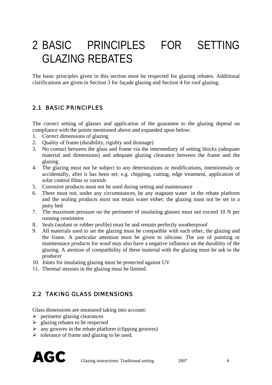# <span id="page-3-0"></span>2 BASIC PRINCIPLES FOR SETTING GLAZING REBATES

The basic principles given in this section must be respected for glazing rebates. Additional clarifications are given in Section 3 for façade glazing and Section 4 for roof glazing.

#### 2.1 BASIC PRINCIPLES

The correct setting of glasses and application of the guarantee to the glazing depend on compliance with the points mentioned above and expanded upon below:

- 1. Correct dimensions of glazing
- 2. Quality of frame (durability, rigidity and drainage)
- 3. No contact between the glass and frame via the intermediary of setting blocks (adequate material and dimensions) and adequate glazing clearance between the frame and the glazing
- 4. The glazing must not be subject to any deteriorations or modifications, intentionnaly or accidentally, after it has been set; e.g. chipping, cutting, edge treatment, application of solar control films or varnish
- 5. Corrosive products must not be used during setting and maintenance
- 6. There must not, under any circumstances, be any stagnant water in the rebate platform and the sealing products must not retain water either; the glazing must not be set in a putty bed
- 7. The maximum pressure on the perimeter of insulating glasses must not exceed 10 N per running centimetre
- 8. Seals (sealant or rubber profile) must be and remain perfectly weatherproof
- 9. All materials used to set the glazing must be compatible with each other, the glazing and the frame. A particular attention must be given to silicone. The use of painting or maintennace products for woof may also have a negative influence on the durablity of the glazing. A atestion of compatibility of these material with the glazing must be ask to the producer
- 10. Joints for insulating glazing must be protected against UV
- 11. Thermal stresses in the glazing must be limited.

#### 2.2 TAKING GLASS DIMENSIONS

Glass dimensions are measured taking into account:

- $\triangleright$  perimeter glazing clearances
- $\geq$  glazing rebates to be respected
- $\triangleright$  any grooves in the rebate platform (clipping grooves)
- $\triangleright$  tolerance of frame and glazing to be used.

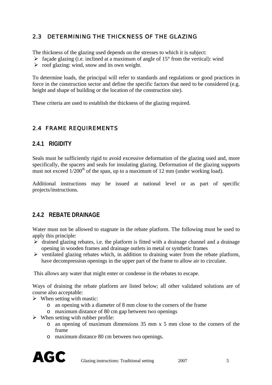## <span id="page-4-0"></span>2.3 DETERMINING THE THICKNESS OF THE GLAZING

The thickness of the glazing used depends on the stresses to which it is subject:

- $\triangleright$  façade glazing (i.e. inclined at a maximum of angle of 15 $\degree$  from the vertical): wind
- $\triangleright$  roof glazing: wind, snow and its own weight.

To determine loads, the principal will refer to standards and regulations or good practices in force in the construction sector and define the specific factors that need to be considered (e.g. height and shape of building or the location of the construction site).

These criteria are used to establish the thickness of the glazing required.

## 2.4 FRAME REQUIREMENTS

#### **2.4.1 RIGIDITY**

Seals must be sufficiently rigid to avoid excessive deformation of the glazing used and, more specifically, the spacers and seals for insulating glazing. Deformation of the glazing supports must not exceed  $1/200<sup>th</sup>$  of the span, up to a maximum of 12 mm (under working load).

Additional instructions may be issued at national level or as part of specific projects/instructions.

#### **2.4.2 REBATE DRAINAGE**

Water must not be allowed to stagnate in the rebate platform. The following must be used to apply this principle:

- $\triangleright$  drained glazing rebates, i.e. the platform is fitted with a drainage channel and a drainage opening in wooden frames and drainage outlets in metal or synthetic frames
- $\triangleright$  ventilated glazing rebates which, in addition to draining water from the rebate platform, have decompression openings in the upper part of the frame to allow air to circulate.

This allows any water that might enter or condense in the rebates to escape.

Ways of draining the rebate platform are listed below; all other validated solutions are of course also acceptable:

- $\triangleright$  When setting with mastic:
	- o an opening with a diameter of 8 mm close to the corners of the frame
	- o maximum distance of 80 cm gap between two openings
- $\triangleright$  When setting with rubber profile:
	- o an opening of maximum dimensions 35 mm x 5 mm close to the corners of the frame
	- o maximum distance 80 cm between two openings.

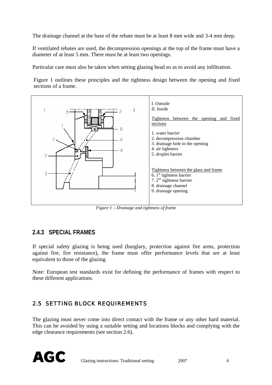<span id="page-5-0"></span>The drainage channel at the base of the rebate must be at least 8 mm wide and 3-4 mm deep.

If ventilated rebates are used, the decompression openings at the top of the frame must have a diameter of at least 5 mm. There must be at least two openings.

Particular care must also be taken when setting glazing bead so as to avoid any infiltration.

[Figure 1](#page-5-1) outlines these principles and the tightness design between the opening and fixed sections of a frame.



*Figure 1 – Drainage and tightness of frame* 

#### <span id="page-5-1"></span>**2.4.3 SPECIAL FRAMES**

If special safety glazing is being used (burglary, protection against fire arms, protection against fire, fire resistance), the frame must offer performance levels that are at least equivalent to those of the glazing.

Note: European test standards exist for defining the performance of frames with respect to these different applications.

### 2.5 SETTING BLOCK REQUIREMENTS

The glazing must never come into direct contact with the frame or any other hard material. This can be avoided by using a suitable setting and locations blocks and complying with the edge clearance requirements (see section 2.6).

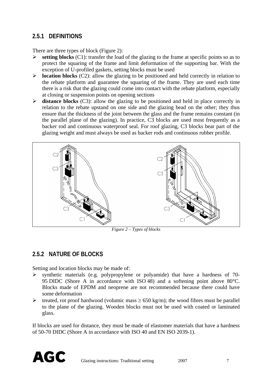### **2.5.1 DEFINITIONS**

There are three types of block ([Figure 2\)](#page-6-0):

- ¾ **setting blocks** (C1): transfer the load of the glazing to the frame at specific points so as to protect the squaring of the frame and limit deformation of the supporting bar. With the exception of U-profiled gaskets, setting blocks must be used
- ¾ **location blocks** (C2): allow the glazing to be positioned and held correctly in relation to the rebate platform and guarantee the squaring of the frame. They are used each time there is a risk that the glazing could come into contact with the rebate platform, especially at closing or suspension points on opening sections
- ¾ **distance blocks** (C3): allow the glazing to be positioned and held in place correctly in relation to the rebate upstand on one side and the glazing bead on the other; they thus ensure that the thickness of the joint between the glass and the frame remains constant (in the parallel plane of the glazing). In practice, C3 blocks are used most frequently as a backer rod and continuous waterproof seal. For roof glazing, C3 blocks bear part of the glazing weight and must always be used as backer rods and continuous rubber profile.



*Figure 2 – Types of blocks* 

### <span id="page-6-0"></span>**2.5.2 NATURE OF BLOCKS**

Setting and location blocks may be made of:

- ¾ synthetic materials (e.g. polypropylene or polyamide) that have a hardness of 70- 95 DIDC (Shore A in accordance with ISO 48) and a softening point above 80°C. Blocks made of EPDM and neoprene are not recommended because there could have some deformation
- $▶$  treated, rot proof hardwood (volumic mass  $≥ 650$  kg/m); the wood fibres must be parallel to the plane of the glazing. Wooden blocks must not be used with coated or laminated glass.

If blocks are used for distance, they must be made of elastomer materials that have a hardness of 50-70 DIDC (Shore A in accordance with ISO 40 and EN ISO 2039-1).

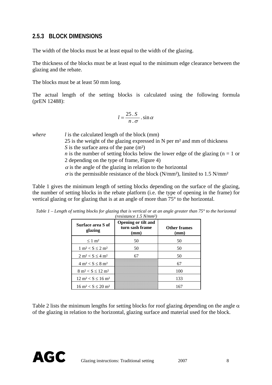#### **2.5.3 BLOCK DIMENSIONS**

The width of the blocks must be at least equal to the width of the glazing.

The thickness of the blocks must be at least equal to the minimum edge clearance between the glazing and the rebate.

The blocks must be at least 50 mm long.

The actual length of the setting blocks is calculated using the following formula (prEN 12488):

$$
l=\frac{25\cdot S}{n\cdot \sigma}\cdot \sin\alpha
$$

*where l* is the calculated length of the block (mm) 25 is the weight of the glazing expressed in N per m² and mm of thickness *S* is the surface area of the pane (m<sup>2</sup>) *n* is the number of setting blocks below the lower edge of the glazing ( $n = 1$  or 2 depending on the type of frame, [Figure 4](#page-10-0))  $\alpha$  is the angle of the glazing in relation to the horizontal  $\sigma$  is the permissible resistance of the block (N/mm<sup>2</sup>), limited to 1.5 N/mm<sup>2</sup>

[Table 1](#page-7-0) gives the minimum length of setting blocks depending on the surface of the glazing, the number of setting blocks in the rebate platform (i.e. the type of opening in the frame) for vertical glazing or for glazing that is at an angle of more than 75° to the horizontal.

| Surface area S of<br>glazing             | <b>Opening or tilt and</b><br>turn sash frame<br>(mm) | <b>Other frames</b><br>(mm) |
|------------------------------------------|-------------------------------------------------------|-----------------------------|
| $\leq 1$ m <sup>2</sup>                  | 50                                                    | 50                          |
| $1 \text{ m}^2 < S \leq 2 \text{ m}^2$   | 50                                                    | 50                          |
| $2 m2 < S \le 4 m2$                      | 67                                                    | 50                          |
| $4 m2 < S \le 8 m2$                      |                                                       | 67                          |
| $8 \text{ m}^2 < S \leq 12 \text{ m}^2$  |                                                       | 100                         |
| $12 \text{ m}^2 < S \leq 16 \text{ m}^2$ |                                                       | 133                         |
| $16 \text{ m}^2 < S \leq 20 \text{ m}^2$ |                                                       | 167                         |

<span id="page-7-0"></span>*Table 1 – Length of setting blocks for glazing that is vertical or at an angle greater than 75° to the horizontal (resistance 1.5 N/mm²)* 

[Table 2](#page-8-0) lists the minimum lengths for setting blocks for roof glazing depending on the angle  $\alpha$ of the glazing in relation to the horizontal, glazing surface and material used for the block.

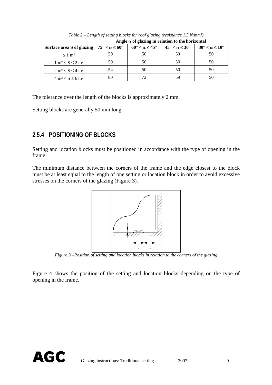<span id="page-8-0"></span>

|                                                                | Angle $\alpha$ of glazing in relation to the horizontal |                                       |                                       |                                       |  |
|----------------------------------------------------------------|---------------------------------------------------------|---------------------------------------|---------------------------------------|---------------------------------------|--|
| Surface area S of glazing $75^{\circ} < \alpha \le 60^{\circ}$ |                                                         | $60^{\circ} < \alpha \leq 45^{\circ}$ | $45^{\circ} < \alpha \leq 30^{\circ}$ | $30^{\circ} < \alpha \leq 10^{\circ}$ |  |
| $\leq 1$ m <sup>2</sup>                                        | 50                                                      | 50                                    | 50                                    | 50                                    |  |
| $1 \text{ m}^2 < S \leq 2 \text{ m}^2$                         | 50                                                      | 50                                    | 50                                    | 50                                    |  |
| $2 m2 < S \le 4 m2$                                            |                                                         | 50                                    | 50                                    | 50                                    |  |
| $4 \text{ m}^2 < S \le 6 \text{ m}^2$                          |                                                         |                                       | 59                                    | 50                                    |  |

*Table 2 – Length of setting blocks for roof glazing (resistance 1.5 N/mm²)* 

The tolerance over the length of the blocks is approximately 2 mm.

Setting blocks are generally 50 mm long.

### **2.5.4 POSITIONING OF BLOCKS**

Setting and location blocks must be positioned in accordance with the type of opening in the frame.

The minimum distance between the corners of the frame and the edge closest to the block must be at least equal to the length of one setting or location block in order to avoid excessive stresses on the corners of the glazing ([Figure 3\)](#page-8-1).



*Figure 3 –Position of setting and location blocks in relation to the corners of the glazing* 

<span id="page-8-1"></span>[Figure 4](#page-10-0) shows the position of the setting and location blocks depending on the type of opening in the frame.

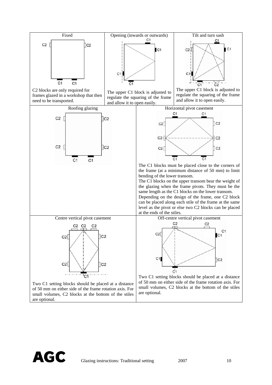

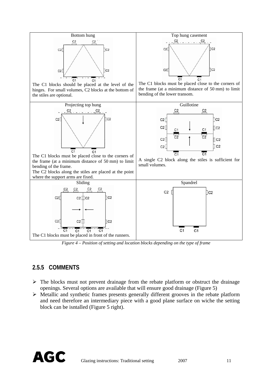

*Figure 4 – Position of setting and location blocks depending on the type of frame* 

## <span id="page-10-0"></span>**2.5.5 COMMENTS**

- $\triangleright$  The blocks must not prevent drainage from the rebate platform or obstruct the drainage openings. Several options are available that will ensure good drainage ([Figure 5](#page-11-1))
- $\triangleright$  Metallic and synthetic frames presents generally different grooves in the rebate platform and need therefore an intermediary piece with a good plane surface on wiche the setting block can be isntalled [\(Figure 5](#page-11-1) right).

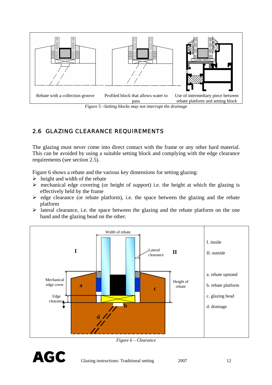<span id="page-11-0"></span>

# <span id="page-11-1"></span>2.6 GLAZING CLEARANCE REQUIREMENTS

The glazing must never come into direct contact with the frame or any other hard material. This can be avoided by using a suitable setting block and complying with the edge clearance requirements (see section 2.5).

[Figure 6](#page-11-2) shows a rebate and the various key dimensions for setting glazing:

- $\triangleright$  height and width of the rebate
- $\triangleright$  mechanical edge covering (or height of support) i.e. the height at which the glazing is effectively held by the frame
- $\triangleright$  edge clearance (or rebate platform), i.e. the space between the glazing and the rebate platform
- $\triangleright$  lateral clearance, i.e. the space between the glazing and the rebate platform on the one hand and the glazing bead on the other.



*Figure 6 – Clearance* 

<span id="page-11-2"></span>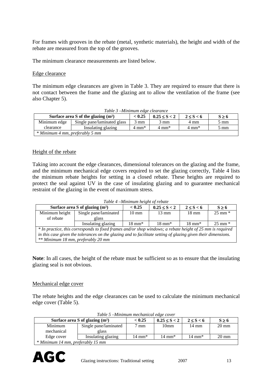For frames with grooves in the rebate (metal, synthetic materials), the height and width of the rebate are measured from the top of the grooves.

The minimum clearance measurements are listed below.

#### Edge clearance

The minimum edge clearances are given in [Table 3](#page-12-0). They are required to ensure that there is not contact between the frame and the glazing ant to allow the ventilation of the frame (see also Chapter 5).

<span id="page-12-0"></span>

| Table 3 – Minimum edge clearance                                                                              |                             |      |      |      |                |  |  |
|---------------------------------------------------------------------------------------------------------------|-----------------------------|------|------|------|----------------|--|--|
| < 0.25<br>Surface area S of the glazing $(m^2)$<br>$0.25 \le S < 2$<br>$2 \le S < 6$<br>$S \geq 6$            |                             |      |      |      |                |  |  |
| Minimum edge                                                                                                  | Single pane/laminated glass | 3 mm | 3 mm | 4 mm | $5 \text{ mm}$ |  |  |
| Insulating glazing<br>$4 \text{ mm}^*$<br>$4 \text{ mm}^*$<br>$4 \text{ mm}^*$<br>$5 \text{ mm}$<br>clearance |                             |      |      |      |                |  |  |
| * Minimum 4 mm, preferably 5 mm                                                                               |                             |      |      |      |                |  |  |

#### Height of the rebate

Taking into account the edge clearances, dimensional tolerances on the glazing and the frame, and the minimum mechanical edge covers required to set the glazing correctly, Table 4 lists the minimum rebate heights for setting in a closed rebate. These heights are required to protect the seal against UV in the case of insulating glazing and to guarantee mechanical restraint of the glazing in the event of maximum stress.

*Table 4 –Minimum height of rebate* 

| Surface area S of glazing $(m^2)$                                                                             |                       | < 0.25            | $0.25 \le S < 2$  | $2 \leq S < 6$    | $S \geq 6$        |  |
|---------------------------------------------------------------------------------------------------------------|-----------------------|-------------------|-------------------|-------------------|-------------------|--|
| Minimum height                                                                                                | Single pane/laminated | $10 \text{ mm}$   | $13 \text{ mm}$   | $18 \text{ mm}$   | $25 \text{ mm}$ * |  |
| of rebate                                                                                                     | glass                 |                   |                   |                   |                   |  |
|                                                                                                               | Insulating glazing    | $18 \text{ mm}^*$ | $18 \text{ mm}^*$ | $18 \text{ mm}^*$ | $25 \text{ mm}$ * |  |
| * In practice, this corresponds to fixed frames and/or shop windows; a rebate height of 25 mm is required     |                       |                   |                   |                   |                   |  |
| in this case given the tolerances on the glazing and to facilitate setting of glazing given their dimensions. |                       |                   |                   |                   |                   |  |
| ** Minimum 18 mm, preferably 20 mm                                                                            |                       |                   |                   |                   |                   |  |

**Note**: In all cases, the height of the rebate must be sufficient so as to ensure that the insulating glazing seal is not obvious.

#### Mechanical edge cover

The rebate heights and the edge clearances can be used to calculate the minimum mechanical edge cover [\(Table 5\)](#page-12-1).

<span id="page-12-1"></span>

| Surface area S of glazing $(m^2)$ |                       | < 0.25            | $0.25 \le S < 2$  | $2 \le S < 6$     | $S \geq 6$      |
|-----------------------------------|-----------------------|-------------------|-------------------|-------------------|-----------------|
| Minimum                           | Single pane/laminated | mm                | 10 <sub>mm</sub>  | 14 mm             | $20 \text{ mm}$ |
| mechanical                        | glass                 |                   |                   |                   |                 |
| Insulating glazing<br>Edge cover  |                       | $14 \text{ mm}^*$ | $14 \text{ mm}^*$ | $14 \text{ mm}^*$ | $20 \text{ mm}$ |
| * Minimum 14 mm preferably 15 mm  |                       |                   |                   |                   |                 |

*Table 5 –Minimum mechanical edge cover* 

*\* Minimum 14 mm, preferably 15 mm*

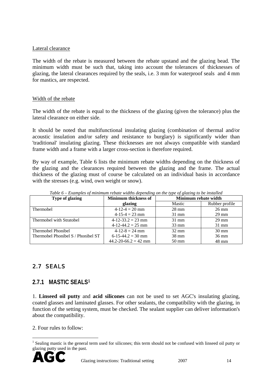#### <span id="page-13-0"></span>Lateral clearance

The width of the rebate is measured between the rebate upstand and the glazing bead. The minimum width must be such that, taking into account the tolerances of thicknesses of glazing, the lateral clearances required by the seals, i.e. 3 mm for waterproof seals and 4 mm for mastics, are respected.

#### Width of the rebate

The width of the rebate is equal to the thickness of the glazing (given the tolerance) plus the lateral clearance on either side.

It should be noted that multifunctional insulating glazing (combination of thermal and/or acoustic insulation and/or safety and resistance to burglary) is significantly wider than 'traditional' insulating glazing. These thicknesses are not always compatible with standard frame width and a frame with a larger cross-section is therefore required.

By way of example, Table 6 lists the minimum rebate widths depending on the thickness of the glazing and the clearances required between the glazing and the frame. The actual thickness of the glazing must of course be calculated on an individual basis in accordance with the stresses (e.g. wind, own weight or snow).

| Type of glazing                    | <b>Minimum thickness of</b> | Minimum rebate width |                 |
|------------------------------------|-----------------------------|----------------------|-----------------|
|                                    | glazing                     | Mastic               | Rubber profile  |
| Thermobel                          | $4-12-4=20$ mm              | $28 \text{ mm}$      | $26 \text{ mm}$ |
|                                    | $4-15-4 = 23$ mm            | $31 \text{ mm}$      | $29 \text{ mm}$ |
| Thermobel with Stratobel           | $4-12-33.2 = 23$ mm         | $31 \text{ mm}$      | $29 \text{ mm}$ |
|                                    | $4-12-44.2 = 25$ mm         | $33 \text{ mm}$      | $31 \text{ mm}$ |
| Thermobel Phonibel                 | $4-12-8 = 24$ mm            | $32 \text{ mm}$      | $30 \text{ mm}$ |
| Thermobel Phonibel S / Phonibel ST | $6-15-44.2 = 30$ mm         | $38 \text{ mm}$      | $36 \text{ mm}$ |
|                                    | $44.2 - 20 - 66.2 = 42$ mm  | $50 \text{ mm}$      | 48 mm           |

*Table 6 – Examples of minimum rebate widths depending on the type of glazing to be installed* 

## 2.7 SEALS

#### **2.7.1 MASTIC SEALS[1](#page-13-1)**

1. **Linseed oil putty** and **acid silicones** can not be used to set AGC's insulating glazing, coated glasses and laminated glasses. For other sealants, the compatibility with the glazing, in function of the setting system, must be checked. The sealant supplier can deliver information's about the compatibility.

2. Four rules to follow:

<span id="page-13-1"></span><sup>&</sup>lt;sup>1</sup> Sealing mastic is the general term used for silicones; this term should not be confused with linseed oil putty or glazing putty used in the past.



 $\overline{a}$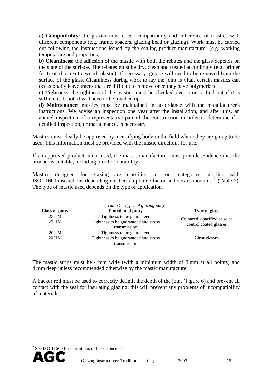**a) Compatibility**: the glazier must check compatibility and adherence of mastics with different components (e.g. frame, spacers, glazing bead or glazing). Work must be carried out following the instructions issued by the sealing product manufacturer (e.g. working temperature and properties)

**b) Cleanliness**: the adhesion of the mastic with both the rebates and the glass depends on the state of the surface. The rebates must be dry, clean and treated accordingly (e.g. primer for treated or exotic wood, plastic). If necessary, grease will need to be removed from the surface of the glass. Cleanliness during work to lay the joint is vital, certain mastics can occasionally leave traces that are difficult to remove once they have polymerized

**c) Tightness**: the tightness of the mastics must be checked over time to find out if it is sufficient. If not, it will need to be touched up

**d) Maintenance**: mastics must be maintained in accordance with the manufacturer's instructions. We advise an inspection one year after the installation, and after this, an annuel inspection of a representative part of the construction in order to determine if a detailed inspection, or maintenance, is necessary

Mastics must ideally be approved by a certifying body in the field where they are going to be used. This information must be provided with the mastic directions for use.

If an approved product is not used, the mastic manufacturer must provide evidence that the product is suitable, including proof of durability.

Mastics designed for glazing are classified in four categories in line with ISO 11600 instructions depending on their amplitude factor and secant modulus  $2$  [\(Table 7\)](#page-14-1). The type of mastic used depends on the type of application.

<span id="page-14-1"></span>

| <b>Class of putty</b>                          | <b>Function of putty</b>              | <b>Type of glass</b>                                   |  |
|------------------------------------------------|---------------------------------------|--------------------------------------------------------|--|
| 25 LM                                          | Tightness to be guaranteed            |                                                        |  |
| 25 HM                                          | Tightness to be guaranteed and stress | Coloured, opacified or solar<br>control coated glasses |  |
|                                                | transmission                          |                                                        |  |
| 20 LM                                          | Tightness to be guaranteed            |                                                        |  |
| 20 HM<br>Tightness to be guaranteed and stress |                                       | Clear glasses                                          |  |
|                                                | transmission                          |                                                        |  |

*Table 7 Types of glazing* 

The mastic strips must be 4 mm wide (with a minimum width of 3 mm at all points) and 4 mm deep unless recommended otherwise by the mastic manufacturer.

A backer rod must be used to correctly delimit the depth of the joint [\(Figure 6\)](#page-11-2) and prevent all contact with the seal for insulating glazing; this will prevent any problems of incompatibility of materials.

<span id="page-14-0"></span> $2^2$  See ISO 11600 for definitions of these concepts.



 $\overline{a}$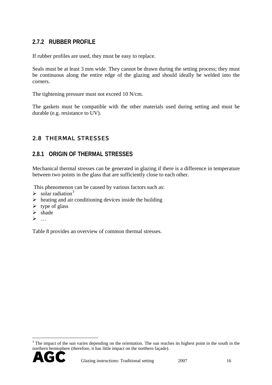#### <span id="page-15-0"></span>**2.7.2 RUBBER PROFILE**

If rubber profiles are used, they must be easy to replace.

Seals must be at least 3 mm wide. They cannot be drawn during the setting process; they must be continuous along the entire edge of the glazing and should ideally be welded into the corners.

The tightening pressure must not exceed 10 N/cm.

The gaskets must be compatible with the other materials used during setting and must be durable (e.g. resistance to UV).

## 2.8 THERMAL STRESSES

#### **2.8.1 ORIGIN OF THERMAL STRESSES**

Mechanical thermal stresses can be generated in glazing if there is a difference in temperature between two points in the glass that are sufficiently close to each other.

This phenomenon can be caused by various factors such as:

- $\blacktriangleright$  solar radiation<sup>[3](#page-15-1)</sup>
- $\triangleright$  heating and air conditioning devices inside the building
- $\triangleright$  type of glass
- $\triangleright$  shade
- ¾ …

Table 8 provides an overview of common thermal stresses.

<span id="page-15-1"></span> $3$  The impact of the sun varies depending on the orientation. The sun reaches its highest point in the south in the northern hemisphere (therefore, it has little impact on the northern façade).



 $\overline{a}$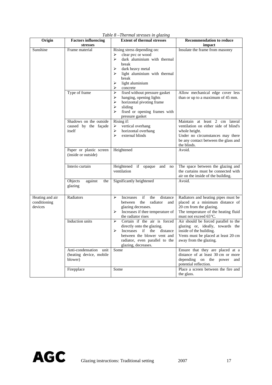| Origin                                     | <b>Factors influencing</b>                                   | <b>Extent of thermal stresses</b>                                                                                                                                                                                    | <b>Recommendation to reduce</b>                                                                                                                                                     |
|--------------------------------------------|--------------------------------------------------------------|----------------------------------------------------------------------------------------------------------------------------------------------------------------------------------------------------------------------|-------------------------------------------------------------------------------------------------------------------------------------------------------------------------------------|
|                                            | stresses                                                     |                                                                                                                                                                                                                      | impact                                                                                                                                                                              |
| Sunshine                                   | Frame material                                               | Rising stress depending on:<br>clear pvc or wood<br>➤<br>➤<br>dark aluminium with thermal<br>break<br>➤<br>dark heavy metal<br>➤<br>light aluminium with thermal<br>break<br>light aluminium<br>➤<br>⋗<br>concrete   | Insulate the frame from masonry                                                                                                                                                     |
|                                            | Type of frame                                                | fixed without pressure gasket<br>➤<br>➤<br>hanging, opening lights<br>$\blacktriangleright$<br>horizontal pivoting frame<br>$\blacktriangleright$<br>sliding<br>fixed or opening frames with<br>⋗<br>pressure gasket | Allow mechanical edge cover less<br>than or up to a maximum of 45 mm.                                                                                                               |
|                                            | Shadows on the outside<br>caused by the façade<br>itself     | $\overline{\text{Rising}}$ if:<br>vertical overhang<br>➤<br>horizontal overhang<br>➤<br>➤<br>external blinds                                                                                                         | Maintain at least 2 cm lateral<br>ventilation on either side of blind's<br>whole height.<br>Under no circumstances may there<br>be any contact between the glass and<br>the blinds. |
|                                            | Paper or plastic screen<br>(inside or outside)               | Heightened                                                                                                                                                                                                           | Avoid.                                                                                                                                                                              |
|                                            | Interio curtain                                              | Heightened if opaque<br>and<br>no<br>ventilation                                                                                                                                                                     | The space between the glazing and<br>the curtains must be connected with<br>air on the inside of the building.                                                                      |
|                                            | Objects<br>against<br>the<br>glazing                         | Significantly heightened                                                                                                                                                                                             | Avoid.                                                                                                                                                                              |
| Heating and air<br>conditioning<br>devices | Radiators                                                    | Increases<br>if<br>the<br>distance<br>➤<br>the<br>between<br>radiator<br>and<br>glazing decreases.<br>$\blacktriangleright$<br>Increases if thee temperature of<br>the radiator rises                                | Radiators and heating pipes must be<br>placed at a minimum distance of<br>20 cm from the glazing.<br>The temperature of the heating fluid<br>must not exceed 65°C.                  |
|                                            | Induction units                                              | Certain if the air is forced<br>⋗<br>directly onto the glazing.<br>⋗<br>Increases if the distance<br>between the blower vent and<br>radiator, even parallel to the<br>glazing, decreases.                            | Air should be forced parallel to the<br>glazing or, ideally, towards the<br>inside of the building.<br>Vents must be placed at least 20 cm<br>away from the glazing.                |
|                                            | Anti-condensation unit<br>(heating device, mobile<br>blower) | Some                                                                                                                                                                                                                 | Ensure that they are placed at a<br>distance of at least 30 cm or more<br>depending on the power<br>and<br>potential reflection.                                                    |
|                                            | Firepplace                                                   | Some                                                                                                                                                                                                                 | Place a screen between the fire and<br>the glass.                                                                                                                                   |

*Table 8 –Thermal stresses in glazing* 

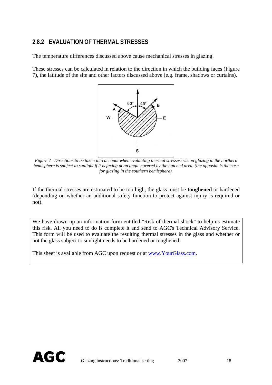#### **2.8.2 EVALUATION OF THERMAL STRESSES**

The temperature differences discussed above cause mechanical stresses in glazing.

These stresses can be calculated in relation to the direction in which the building faces [\(Figure](#page-17-0)  [7\)](#page-17-0), the latitude of the site and other factors discussed above (e.g. frame, shadows or curtains).



<span id="page-17-0"></span>*Figure 7 –Directions to be taken into account when evaluating thermal stresses: vision glazing in the northern hemisphere is subject to sunlight if it is facing at an angle covered by the hatched area (the opposite is the case for glazing in the southern hemisphere).* 

If the thermal stresses are estimated to be too high, the glass must be **toughened** or hardened (depending on whether an additional safety function to protect against injury is required or not).

We have drawn up an information form entitled "Risk of thermal shock" to help us estimate this risk. All you need to do is complete it and send to AGC's Technical Advisory Service. This form will be used to evaluate the resulting thermal stresses in the glass and whether or not the glass subject to sunlight needs to be hardened or toughened.

This sheet is available from AGC upon request or at [www.YourGlass.com](http://www.yourglass.com/).

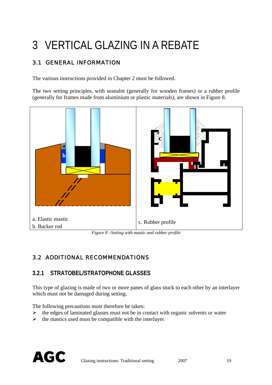# <span id="page-18-0"></span>3 VERTICAL GLAZING IN A REBATE

# 3.1 GENERAL INFORMATION

The various instructions provided in Chapter 2 must be followed.

The two setting principles, with seanalnt (generally for wooden frames) or a rubber profile (generally for frames made from aluminium or plastic materials), are shown in [Figure 8](#page-18-1).



*Figure 8 –Setting with mastic and rubber profile* 

## <span id="page-18-1"></span>3.2 ADDITIONAL RECOMMENDATIONS

### **3.2.1 STRATOBEL/STRATOPHONE GLASSES**

This type of glazing is made of two or more panes of glass stuck to each other by an interlayer which must not be damaged during setting.

The following precautions must therefore be taken:

- $\triangleright$  the edges of laminated glasses must not be in contact with organic solvents or water
- $\triangleright$  the mastics used must be compatible with the interlayer.

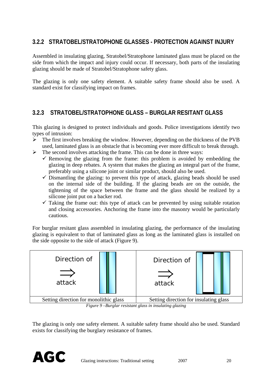## **3.2.2 STRATOBEL/STRATOPHONE GLASSES - PROTECTION AGAINST INJURY**

Assembled in insulating glazing, Stratobel/Stratophone laminated glass must be placed on the side from which the impact and injury could occur. If necessary, both parts of the insulating glazing should be made of Stratobel/Stratophone safety glass.

The glazing is only one safety element. A suitable safety frame should also be used. A standard exist for classifying impact on frames.

#### **3.2.3 STRATOBEL/STRATOPHONE GLASS – BURGLAR RESITANT GLASS**

This glazing is designed to protect individuals and goods. Police investigations identify two types of intrusion:

- $\triangleright$  The first involves breaking the window. However, depending on the thickness of the PVB used, laminated glass is an obstacle that is becoming ever more difficult to break through.
- $\triangleright$  The second involves attacking the frame. This can be done in three ways:
	- $\checkmark$  Removing the glazing from the frame: this problem is avoided by embedding the glazing in deep rebates. A system that makes the glazing an integral part of the frame, preferably using a silicone joint or similar product, should also be used.
		- $\checkmark$  Dismantling the glazing: to prevent this type of attack, glazing beads should be used on the internal side of the building. If the glazing beads are on the outside, the tightening of the space between the frame and the glass should be realized by a silicone joint put on a backer rod.
		- $\checkmark$  Taking the frame out: this type of attack can be prevented by using suitable rotation and closing accessories. Anchoring the frame into the masonry would be particularly cautious.

For burglar resitant glass assembled in insulating glazing, the performance of the insulating glazing is equivalent to that of laminated glass as long as the laminated glass is installed on the side opposite to the side of attack [\(Figure 9\)](#page-19-0).



*Figure 9 –Burglar resistant glass in insulating glazing* 

<span id="page-19-0"></span>The glazing is only one safety element. A suitable safety frame should also be used. Standard exists for classifying the burglary resistance of frames.

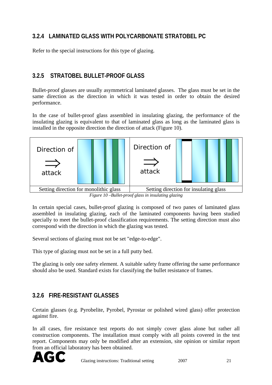# **3.2.4 LAMINATED GLASS WITH POLYCARBONATE STRATOBEL PC**

Refer to the special instructions for this type of glazing.

### **3.2.5 STRATOBEL BULLET-PROOF GLASS**

Bullet-proof glasses are usually asymmetrical laminated glasses. The glass must be set in the same direction as the direction in which it was tested in order to obtain the desired performance.

In the case of bullet-proof glass assembled in insulating glazing, the performance of the insulating glazing is equivalent to that of laminated glass as long as the laminated glass is installed in the opposite direction the direction of attack ([Figure 10](#page-20-0)).



<span id="page-20-0"></span>In certain special cases, bullet-proof glazing is composed of two panes of laminated glass assembled in insulating glazing, each of the laminated components having been studied specially to meet the bullet-proof classification requirements. The setting direction must also correspond with the direction in which the glazing was tested.

Several sections of glazing must not be set "edge-to-edge".

This type of glazing must not be set in a full putty bed.

The glazing is only one safety element. A suitable safety frame offering the same performance should also be used. Standard exists for classifying the bullet resistance of frames.

#### **3.2.6 FIRE-RESISTANT GLASSES**

Certain glasses (e.g. Pyrobelite, Pyrobel, Pyrostar or polished wired glass) offer protection against fire.

In all cases, fire resistance test reports do not simply cover glass alone but rather all construction components. The installation must comply with all points covered in the test report. Components may only be modified after an extension, site opinion or similar report from an official laboratory has been obtained.

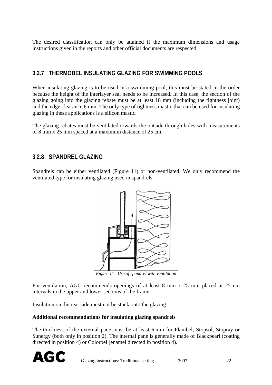The desired classification can only be attained if the maximum dimensions and usage instructions given in the reports and other official documents are respected

### **3.2.7 THERMOBEL INSULATING GLAZING FOR SWIMMING POOLS**

When insulating glazing is to be used in a swimming pool, this must be stated in the order because the height of the interlayer seal needs to be increased. In this case, the section of the glazing going into the glazing rebate must be at least 18 mm (including the tightness joint) and the edge clearance 6 mm. The only type of tightness mastic that can be used for insulating glazing in these applications is a silicon mastic.

The glazing rebates must be ventilated towards the outside through holes with measurements of 8 mm x 25 mm spaced at a maximum distance of 25 cm.

### **3.2.8 SPANDREL GLAZING**

Spandrels can be either ventilated [\(Figure 11\)](#page-21-0) or non-ventilated. We only recommend the ventilated type for insulating glazing used in spandrels.



*Figure 11 –Use of spandrel with ventilation* 

<span id="page-21-0"></span>For ventilation, AGC recommends openings of at least 8 mm x 25 mm placed at 25 cm intervals in the upper and lower sections of the frame.

Insulation on the rear side must not be stuck onto the glazing.

#### **Additional recommendations for insulating glazing spandrels**

The thickness of the external pane must be at least 6 mm for Planibel, Stopsol, Stopray or Sunergy (both only in position 2). The internal pane is generally made of Blackpearl (coating directed in position 4) or Colorbel (enamel directed in position 4).

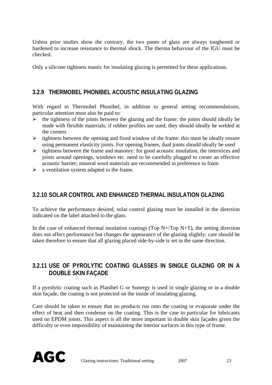Unless prior studies show the contrary, the two panes of glass are always toughened or hardened to increase resistance to thermal shock. The therma behaviour of the IGU must be checked.

Only a silicone tightness mastic for insulating glazing is permitted for these applications.

#### **3.2.9 THERMOBEL PHONIBEL ACOUSTIC INSULATING GLAZING**

With regard to Thermobel Phonibel, in addition to general setting recommendations, particular attention must also be paid to:

- $\triangleright$  the tightness of the joints between the glazing and the frame: the joints should ideally be made with flexible materials; if rubber profiles are used, they should ideally be welded at the corners
- $\triangleright$  tightness between the opening and fixed window of the frame: this must be ideally ensure using permanent elasticity joints. For opening frames, dual joints should ideally be used
- $\triangleright$  tightness between the frame and masonry: for good acoustic insulation, the interstices and joints around openings, windows etc. need to be carefully plugged to create an effective acoustic barrier; mineral wool materials are recommended in preference to foam
- $\triangleright$  a ventilation system adapted to the frame.

#### **3.2.10 SOLAR CONTROL AND ENHANCED THERMAL INSULATION GLAZING**

To achieve the performance desired, solar control glazing must be installed in the direction indicated on the label attached to the glass.

In the case of enhanced thermal insulation coatings (Top  $N+$ /Top  $N+$ T), the setting direction does not affect performance but changes the appearance of the glazing slightly; care should be taken therefore to ensure that all glazing placed side-by-side is set in the same direction.

### **3.2.11 USE OF PYROLYTIC COATING GLASSES IN SINGLE GLAZING OR IN A DOUBLE SKIN FAÇADE**

If a pyrolytic coating such as Planibel G or Sunergy is used in single glazing or in a double skin façade, the coating is not protected on the inside of insulating glazing.

Care should be taken to ensure that no products run onto the coating or evaporate under the effect of heat and then condense on the coating. This is the case in particular for lubricants used on EPDM joints. This aspect is all the more important in double skin façades given the difficulty or even impossibility of maintaining the interior surfaces in this type of frame.

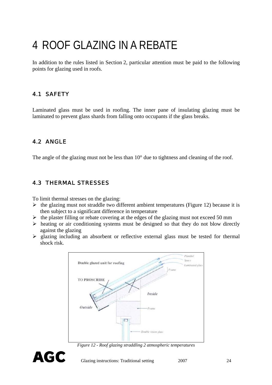# <span id="page-23-0"></span>4 ROOF GLAZING IN A REBATE

In addition to the rules listed in Section 2, particular attention must be paid to the following points for glazing used in roofs.

# 4.1 SAFETY

Laminated glass must be used in roofing. The inner pane of insulating glazing must be laminated to prevent glass shards from falling onto occupants if the glass breaks.

## 4.2 ANGLE

The angle of the glazing must not be less than 10<sup>°</sup> due to tightness and cleaning of the roof.

### 4.3 THERMAL STRESSES

To limit thermal stresses on the glazing:

- $\triangleright$  the glazing must not straddle two different ambient temperatures ([Figure 12\)](#page-23-1) because it is then subject to a significant difference in temperature
- $\triangleright$  the plaster filling or rebate covering at the edges of the glazing must not exceed 50 mm
- $\triangleright$  heating or air conditioning systems must be designed so that they do not blow directly against the glazing
- ¾ glazing including an absorbent or reflective external glass must be tested for thermal shock risk.



*Figure 12 - Roof glazing straddling 2 atmospheric temperatures* 

<span id="page-23-1"></span>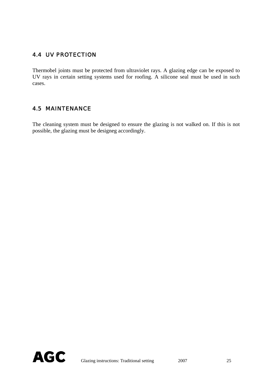## <span id="page-24-0"></span>4.4 UV PROTECTION

Thermobel joints must be protected from ultraviolet rays. A glazing edge can be exposed to UV rays in certain setting systems used for roofing. A silicone seal must be used in such cases.

#### 4.5 MAINTENANCE

The cleaning system must be designed to ensure the glazing is not walked on. If this is not possible, the glazing must be designeg accordingly.

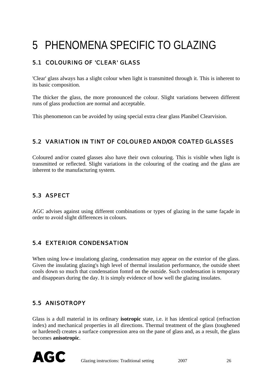# <span id="page-25-0"></span>5 PHENOMENA SPECIFIC TO GLAZING

# 5.1 COLOURING OF 'CLEAR' GLASS

'Clear' glass always has a slight colour when light is transmitted through it. This is inherent to its basic composition.

The thicker the glass, the more pronounced the colour. Slight variations between different runs of glass production are normal and acceptable.

This phenomenon can be avoided by using special extra clear glass Planibel Clearvision.

### 5.2 VARIATION IN TINT OF COLOURED AND/OR COATED GLASSES

Coloured and/or coated glasses also have their own colouring. This is visible when light is transmitted or reflected. Slight variations in the colouring of the coating and the glass are inherent to the manufacturing system.

### 5.3 ASPECT

AGC advises against using different combinations or types of glazing in the same façade in order to avoid slight differences in colours.

### 5.4 EXTERIOR CONDENSATION

When using low-e insulationg glazing, condensation may appear on the exterior of the glass. Given the insulating glazing's high level of thermal insulation performance, the outside sheet cools down so much that condensation fomrd on the outside. Such condensation is temporary and disappears during the day. It is simply evidence of how well the glazing insulates.

## 5.5 ANISOTROPY

Glass is a dull material in its ordinary **isotropic** state, i.e. it has identical optical (refraction index) and mechanical properties in all directions. Thermal treatment of the glass (toughened or hardened) creates a surface compression area on the pane of glass and, as a result, the glass becomes **anisotropic**.

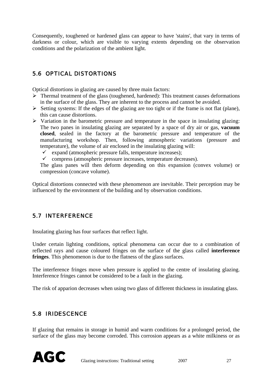<span id="page-26-0"></span>Consequently, toughened or hardened glass can appear to have 'stains', that vary in terms of darkness or colour, which are visible to varying extents depending on the observation conditions and the polarization of the ambient light.

## 5.6 OPTICAL DISTORTIONS

Optical distortions in glazing are caused by three main factors:

- $\triangleright$  Thermal treatment of the glass (toughened, hardened): This treatment causes deformations in the surface of the glass. They are inherent to the process and cannot be avoided.
- $\triangleright$  Setting systems: If the edges of the glazing are too tight or if the frame is not flat (plane), this can cause distortions.
- $\triangleright$  Variation in the barometric pressure and temperature in the space in insulating glazing: The two panes in insulating glazing are separated by a space of dry air or gas, **vacuum closed**, sealed in the factory at the barometric pressure and temperature of the manufacturing workshop. Then, following atmospheric variations (pressure and temperature), the volume of air enclosed in the insulating glazing will:
	- $\checkmark$  expand (atmospheric pressure falls, temperature increases);
	- $\checkmark$  compress (atmospheric pressure increases, temperature decreases).

The glass panes will then deform depending on this expansion (convex volume) or compression (concave volume).

Optical distortions connected with these phenomenon are inevitable. Their perception may be influenced by the environment of the building and by observation conditions.

### 5.7 INTERFERENCE

Insulating glazing has four surfaces that reflect light.

Under certain lighting conditions, optical phenomena can occur due to a combination of reflected rays and cause coloured fringes on the surface of the glass called **interference fringes**. This phenomenon is due to the flatness of the glass surfaces.

The interference fringes move when pressure is applied to the centre of insulating glazing. Interference fringes cannot be considered to be a fault in the glazing.

The risk of apparion decreases when using two glass of different thickness in insulating glass.

#### 5.8 IRIDESCENCE

If glazing that remains in storage in humid and warm conditions for a prolonged period, the surface of the glass may become corroded. This corrosion appears as a white milkiness or as

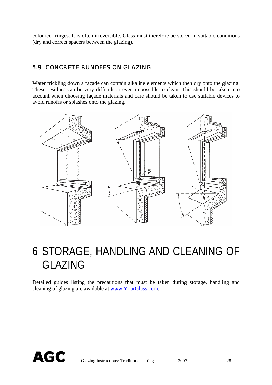<span id="page-27-0"></span>coloured fringes. It is often irreversible. Glass must therefore be stored in suitable conditions (dry and correct spacers between the glazing).

#### 5.9 CONCRETE RUNOFFS ON GLAZING

Water trickling down a façade can contain alkaline elements which then dry onto the glazing. These residues can be very difficult or even impossible to clean. This should be taken into account when choosing façade materials and care should be taken to use suitable devices to avoid runoffs or splashes onto the glazing.



# 6 STORAGE, HANDLING AND CLEANING OF GLAZING

Detailed guides listing the precautions that must be taken during storage, handling and cleaning of glazing are available at [www.YourGlass.com.](http://www.yourglass.com/)